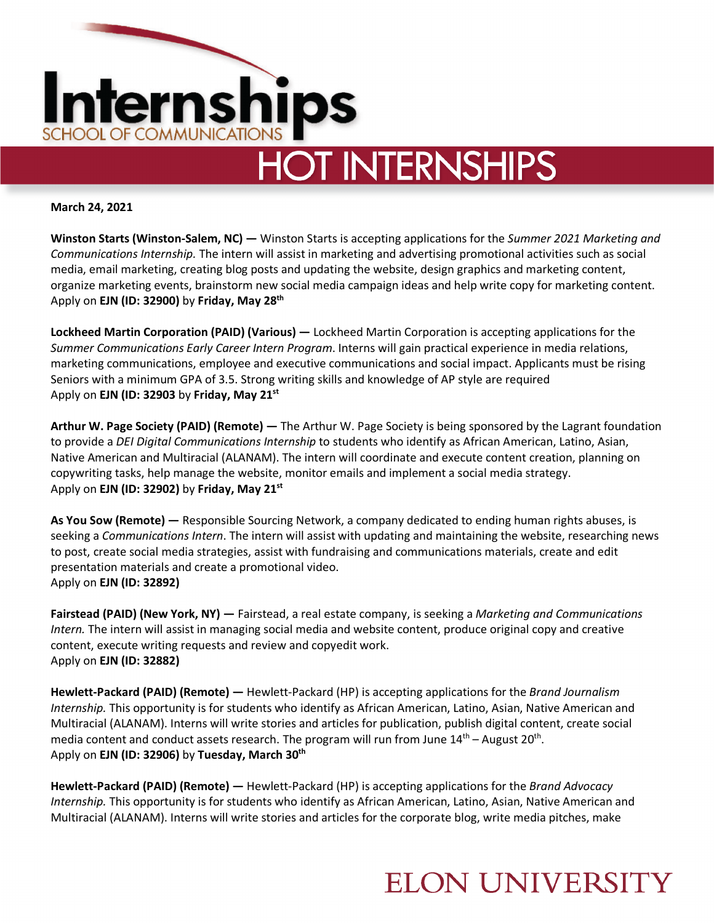

**March 24, 2021**

**Winston Starts (Winston-Salem, NC) —** Winston Starts is accepting applications for the *Summer 2021 Marketing and Communications Internship.* The intern will assist in marketing and advertising promotional activities such as social media, email marketing, creating blog posts and updating the website, design graphics and marketing content, organize marketing events, brainstorm new social media campaign ideas and help write copy for marketing content. Apply on **EJN (ID: 32900)** by **Friday, May 28th**

**Lockheed Martin Corporation (PAID) (Various) —** Lockheed Martin Corporation is accepting applications for the *Summer Communications Early Career Intern Program*. Interns will gain practical experience in media relations, marketing communications, employee and executive communications and social impact. Applicants must be rising Seniors with a minimum GPA of 3.5. Strong writing skills and knowledge of AP style are required Apply on **EJN (ID: 32903** by **Friday, May 21st**

**Arthur W. Page Society (PAID) (Remote) —** The Arthur W. Page Society is being sponsored by the Lagrant foundation to provide a *DEI Digital Communications Internship* to students who identify as African American, Latino, Asian, Native American and Multiracial (ALANAM). The intern will coordinate and execute content creation, planning on copywriting tasks, help manage the website, monitor emails and implement a social media strategy. Apply on **EJN (ID: 32902)** by **Friday, May 21st**

**As You Sow (Remote) —** Responsible Sourcing Network, a company dedicated to ending human rights abuses, is seeking a *Communications Intern*. The intern will assist with updating and maintaining the website, researching news to post, create social media strategies, assist with fundraising and communications materials, create and edit presentation materials and create a promotional video. Apply on **EJN (ID: 32892)** 

**Fairstead (PAID) (New York, NY) —** Fairstead, a real estate company, is seeking a *Marketing and Communications Intern.* The intern will assist in managing social media and website content, produce original copy and creative content, execute writing requests and review and copyedit work. Apply on **EJN (ID: 32882)** 

**Hewlett-Packard (PAID) (Remote) —** Hewlett-Packard (HP) is accepting applications for the *Brand Journalism Internship.* This opportunity is for students who identify as African American, Latino, Asian, Native American and Multiracial (ALANAM). Interns will write stories and articles for publication, publish digital content, create social media content and conduct assets research. The program will run from June  $14<sup>th</sup>$  – August  $20<sup>th</sup>$ . Apply on **EJN (ID: 32906)** by **Tuesday, March 30th**

**Hewlett-Packard (PAID) (Remote) —** Hewlett-Packard (HP) is accepting applications for the *Brand Advocacy Internship.* This opportunity is for students who identify as African American, Latino, Asian, Native American and Multiracial (ALANAM). Interns will write stories and articles for the corporate blog, write media pitches, make

## **ELON UNIVERSITY**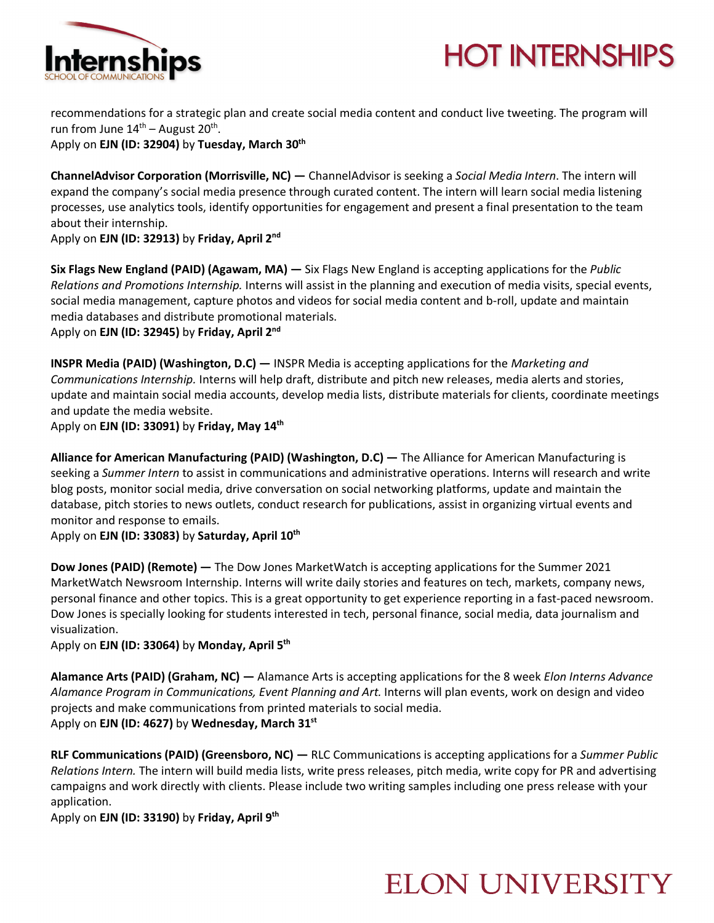



recommendations for a strategic plan and create social media content and conduct live tweeting. The program will run from June  $14<sup>th</sup>$  – August  $20<sup>th</sup>$ .

Apply on **EJN (ID: 32904)** by **Tuesday, March 30th**

**ChannelAdvisor Corporation (Morrisville, NC) —** ChannelAdvisor is seeking a *Social Media Intern*. The intern will expand the company's social media presence through curated content. The intern will learn social media listening processes, use analytics tools, identify opportunities for engagement and present a final presentation to the team about their internship.

Apply on **EJN (ID: 32913)** by **Friday, April 2nd**

**Six Flags New England (PAID) (Agawam, MA) —** Six Flags New England is accepting applications for the *Public Relations and Promotions Internship.* Interns will assist in the planning and execution of media visits, special events, social media management, capture photos and videos for social media content and b-roll, update and maintain media databases and distribute promotional materials.

Apply on **EJN (ID: 32945)** by **Friday, April 2nd**

**INSPR Media (PAID) (Washington, D.C) —** INSPR Media is accepting applications for the *Marketing and Communications Internship.* Interns will help draft, distribute and pitch new releases, media alerts and stories, update and maintain social media accounts, develop media lists, distribute materials for clients, coordinate meetings and update the media website.

Apply on **EJN (ID: 33091)** by **Friday, May 14th**

**Alliance for American Manufacturing (PAID) (Washington, D.C) —** The Alliance for American Manufacturing is seeking a *Summer Intern* to assist in communications and administrative operations. Interns will research and write blog posts, monitor social media, drive conversation on social networking platforms, update and maintain the database, pitch stories to news outlets, conduct research for publications, assist in organizing virtual events and monitor and response to emails.

Apply on **EJN (ID: 33083)** by **Saturday, April 10th**

**Dow Jones (PAID) (Remote) —** The Dow Jones MarketWatch is accepting applications for the Summer 2021 MarketWatch Newsroom Internship. Interns will write daily stories and features on tech, markets, company news, personal finance and other topics. This is a great opportunity to get experience reporting in a fast-paced newsroom. Dow Jones is specially looking for students interested in tech, personal finance, social media, data journalism and visualization.

Apply on **EJN (ID: 33064)** by **Monday, April 5th**

**Alamance Arts (PAID) (Graham, NC) —** Alamance Arts is accepting applications for the 8 week *Elon Interns Advance Alamance Program in Communications, Event Planning and Art.* Interns will plan events, work on design and video projects and make communications from printed materials to social media. Apply on **EJN (ID: 4627)** by **Wednesday, March 31st**

**RLF Communications (PAID) (Greensboro, NC) —** RLC Communications is accepting applications for a *Summer Public Relations Intern.* The intern will build media lists, write press releases, pitch media, write copy for PR and advertising campaigns and work directly with clients. Please include two writing samples including one press release with your application.

Apply on **EJN (ID: 33190)** by **Friday, April 9th**

## **ELON UNIVERSITY**